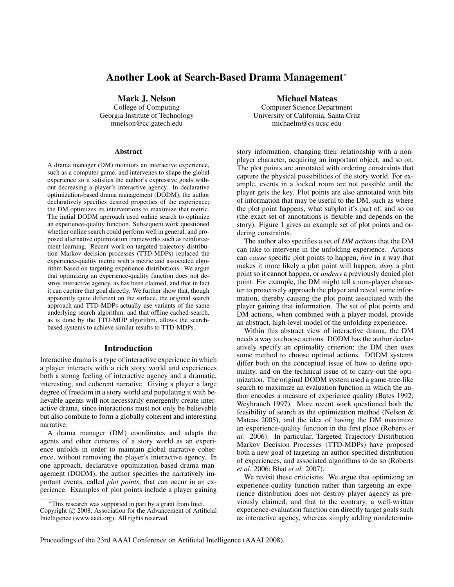# **Another Look at Search-Based Drama Management**<sup>∗</sup>

**Mark J. Nelson** College of Computing Georgia Institute of Technology mnelson@cc.gatech.edu

#### **Abstract**

A drama manager (DM) monitors an interactive experience, such as a computer game, and intervenes to shape the global experience so it satisfies the author's expressive goals without decreasing a player's interactive agency. In declarative optimization-based drama management (DODM), the author declaratively specifies desired properties of the experience; the DM optimizes its interventions to maximize that metric. The initial DODM approach used online search to optimize an experience-quality function. Subsequent work questioned whether online search could perform well in general, and proposed alternative optimization frameworks such as reinforcement learning. Recent work on targeted trajectory distribution Markov decision processes (TTD-MDPs) replaced the experience-quality metric with a metric and associated algorithm based on targeting experience distributions. We argue that optimizing an experience-quality function does not destroy interactive agency, as has been claimed, and that in fact it can capture that goal directly. We further show that, though apparently quite different on the surface, the original search approach and TTD-MDPs actually use variants of the same underlying search algorithm, and that offline cached search, as is done by the TTD-MDP algorithm, allows the searchbased systems to achieve similar results to TTD-MDPs.

#### **Introduction**

Interactive drama is a type of interactive experience in which a player interacts with a rich story world and experiences both a strong feeling of interactive agency and a dramatic, interesting, and coherent narrative. Giving a player a large degree of freedom in a story world and populating it with believable agents will not necessarily emergently create interactive drama, since interactions must not only be believable but also combine to form a globally coherent and interesting narrative.

A drama manager (DM) coordinates and adapts the agents and other contents of a story world as an experience unfolds in order to maintain global narrative coherence, without removing the player's interactive agency. In one approach, declarative optimization-based drama management (DODM), the author specifies the narratively important events, called *plot points*, that can occur in an experience. Examples of plot points include a player gaining

**Michael Mateas** Computer Science Department University of California, Santa Cruz michaelm@cs.ucsc.edu

story information, changing their relationship with a nonplayer character, acquiring an important object, and so on. The plot points are annotated with ordering constraints that capture the physical possibilities of the story world. For example, events in a locked room are not possible until the player gets the key. Plot points are also annotated with bits of information that may be useful to the DM, such as where the plot point happens, what subplot it's part of, and so on (the exact set of annotations is flexible and depends on the story). Figure 1 gives an example set of plot points and ordering constraints.

The author also specifies a set of *DM actions* that the DM can take to intervene in the unfolding experience. Actions can *cause* specific plot points to happen, *hint* in a way that makes it more likely a plot point will happen, *deny* a plot point so it cannot happen, or *undeny* a previously denied plot point. For example, the DM might tell a non-player character to proactively approach the player and reveal some information, thereby causing the plot point associated with the player gaining that information. The set of plot points and DM actions, when combined with a player model, provide an abstract, high-level model of the unfolding experience.

Within this abstract view of interactive drama, the DM needs a way to choose actions. DODM has the author declaratively specify an optimality criterion; the DM then uses some method to choose optimal actions. DODM systems differ both on the conceptual issue of how to define optimality, and on the technical issue of to carry out the optimization. The original DODM system used a game-tree-like search to maximize an evaluation function in which the author encodes a measure of experience quality (Bates 1992; Weyhrauch 1997). More recent work questioned both the feasibility of search as the optimization method (Nelson & Mateas 2005), and the idea of having the DM maximize an experience-quality function in the first place (Roberts *et al.* 2006). In particular, Targeted Trajectory Distribution Markov Decision Processes (TTD-MDPs) have proposed both a new goal of targeting an author-specified distribution of experiences, and associated algorithms to do so (Roberts *et al.* 2006; Bhat *et al.* 2007).

We revisit these criticisms. We argue that optimizing an experience-quality function rather than targeting an experience distribution does not destroy player agency as previously claimed, and that to the contrary, a well-written experience-evaluation function can directly target goals such as interactive agency, whereas simply adding nondetermin-

Proceedings of the 23rd AAAI Conference on Artificial Intelligence (AAAI 2008).

<sup>∗</sup>This research was supported in part by a grant from Intel. Copyright © 2008, Association for the Advancement of Artificial Intelligence (www.aaai.org). All rights reserved.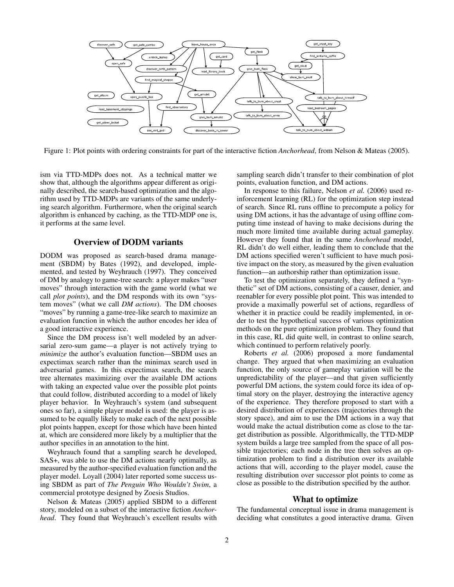

Figure 1: Plot points with ordering constraints for part of the interactive fiction *Anchorhead*, from Nelson & Mateas (2005).

ism via TTD-MDPs does not. As a technical matter we show that, although the algorithms appear different as originally described, the search-based optimization and the algorithm used by TTD-MDPs are variants of the same underlying search algorithm. Furthermore, when the original search algorithm is enhanced by caching, as the TTD-MDP one is, it performs at the same level.

# **Overview of DODM variants**

DODM was proposed as search-based drama management (SBDM) by Bates (1992), and developed, implemented, and tested by Weyhrauch (1997). They conceived of DM by analogy to game-tree search: a player makes "user moves" through interaction with the game world (what we call *plot points*), and the DM responds with its own "system moves" (what we call *DM actions*). The DM chooses "moves" by running a game-tree-like search to maximize an evaluation function in which the author encodes her idea of a good interactive experience.

Since the DM process isn't well modeled by an adversarial zero-sum game—a player is not actively trying to *minimize* the author's evaluation function—SBDM uses an expectimax search rather than the minimax search used in adversarial games. In this expectimax search, the search tree alternates maximizing over the available DM actions with taking an expected value over the possible plot points that could follow, distributed according to a model of likely player behavior. In Weyhrauch's system (and subsequent ones so far), a simple player model is used: the player is assumed to be equally likely to make each of the next possible plot points happen, except for those which have been hinted at, which are considered more likely by a multiplier that the author specifies in an annotation to the hint.

Weyhrauch found that a sampling search he developed, SAS+, was able to use the DM actions nearly optimally, as measured by the author-specified evaluation function and the player model. Loyall (2004) later reported some success using SBDM as part of *The Penguin Who Wouldn't Swim*, a commercial prototype designed by Zoesis Studios.

Nelson & Mateas (2005) applied SBDM to a different story, modeled on a subset of the interactive fiction *Anchorhead*. They found that Weyhrauch's excellent results with

sampling search didn't transfer to their combination of plot points, evaluation function, and DM actions.

In response to this failure, Nelson *et al.* (2006) used reinforcement learning (RL) for the optimization step instead of search. Since RL runs offline to precompute a policy for using DM actions, it has the advantage of using offline computing time instead of having to make decisions during the much more limited time available during actual gameplay. However they found that in the same *Anchorhead* model, RL didn't do well either, leading them to conclude that the DM actions specified weren't sufficient to have much positive impact on the story, as measured by the given evaluation function—an authorship rather than optimization issue.

To test the optimization separately, they defined a "synthetic" set of DM actions, consisting of a causer, denier, and reenabler for every possible plot point. This was intended to provide a maximally powerful set of actions, regardless of whether it in practice could be readily implemented, in order to test the hypothetical success of various optimization methods on the pure optimization problem. They found that in this case, RL did quite well, in contrast to online search, which continued to perform relatively poorly.

Roberts *et al.* (2006) proposed a more fundamental change. They argued that when maximizing an evaluation function, the only source of gameplay variation will be the unpredictability of the player—and that given sufficiently powerful DM actions, the system could force its idea of optimal story on the player, destroying the interactive agency of the experience. They therefore proposed to start with a desired distribution of experiences (trajectories through the story space), and aim to use the DM actions in a way that would make the actual distribution come as close to the target distribution as possible. Algorithmically, the TTD-MDP system builds a large tree sampled from the space of all possible trajectories; each node in the tree then solves an optimization problem to find a distribution over its available actions that will, according to the player model, cause the resulting distribution over successor plot points to come as close as possible to the distribution specified by the author.

#### **What to optimize**

The fundamental conceptual issue in drama management is deciding what constitutes a good interactive drama. Given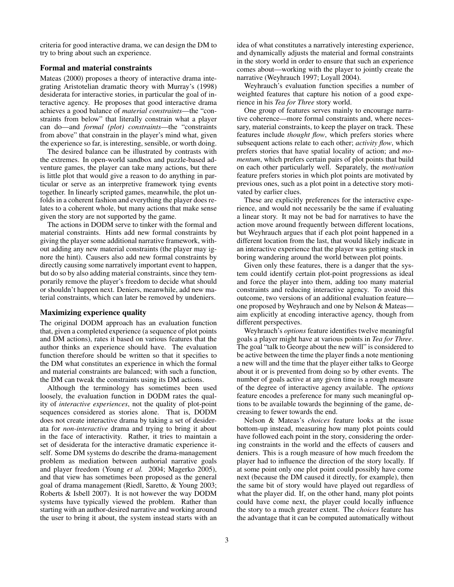criteria for good interactive drama, we can design the DM to try to bring about such an experience.

#### **Formal and material constraints**

Mateas (2000) proposes a theory of interactive drama integrating Aristotelian dramatic theory with Murray's (1998) desiderata for interactive stories, in particular the goal of interactive agency. He proposes that good interactive drama achieves a good balance of *material constraints*—the "constraints from below" that literally constrain what a player can do—and *formal (plot) constraints*—the "constraints from above" that constrain in the player's mind what, given the experience so far, is interesting, sensible, or worth doing.

The desired balance can be illustrated by contrasts with the extremes. In open-world sandbox and puzzle-based adventure games, the player can take many actions, but there is little plot that would give a reason to do anything in particular or serve as an interpretive framework tying events together. In linearly scripted games, meanwhile, the plot unfolds in a coherent fashion and everything the player does relates to a coherent whole, but many actions that make sense given the story are not supported by the game.

The actions in DODM serve to tinker with the formal and material constraints. Hints add new formal constraints by giving the player some additional narrative framework, without adding any new material constraints (the player may ignore the hint). Causers also add new formal constraints by directly causing some narratively important event to happen, but do so by also adding material constraints, since they temporarily remove the player's freedom to decide what should or shouldn't happen next. Deniers, meanwhile, add new material constraints, which can later be removed by undeniers.

#### **Maximizing experience quality**

The original DODM approach has an evaluation function that, given a completed experience (a sequence of plot points and DM actions), rates it based on various features that the author thinks an experience should have. The evaluation function therefore should be written so that it specifies to the DM what constitutes an experience in which the formal and material constraints are balanced; with such a function, the DM can tweak the constraints using its DM actions.

Although the terminology has sometimes been used loosely, the evaluation function in DODM rates the quality of *interactive experiences*, not the quality of plot-point sequences considered as stories alone. That is, DODM does not create interactive drama by taking a set of desiderata for *non-interactive* drama and trying to bring it about in the face of interactivity. Rather, it tries to maintain a set of desiderata for the interactive dramatic experience itself. Some DM systems do describe the drama-management problem as mediation between authorial narrative goals and player freedom (Young *et al.* 2004; Magerko 2005), and that view has sometimes been proposed as the general goal of drama management (Riedl, Saretto, & Young 2003; Roberts & Isbell 2007). It is not however the way DODM systems have typically viewed the problem. Rather than starting with an author-desired narrative and working around the user to bring it about, the system instead starts with an

idea of what constitutes a narratively interesting experience, and dynamically adjusts the material and formal constraints in the story world in order to ensure that such an experience comes about—working with the player to jointly create the narrative (Weyhrauch 1997; Loyall 2004).

Weyhrauch's evaluation function specifies a number of weighted features that capture his notion of a good experience in his *Tea for Three* story world.

One group of features serves mainly to encourage narrative coherence—more formal constraints and, where necessary, material constraints, to keep the player on track. These features include *thought flow*, which prefers stories where subsequent actions relate to each other; *activity flow*, which prefers stories that have spatial locality of action; and *momentum*, which prefers certain pairs of plot points that build on each other particularly well. Separately, the *motivation* feature prefers stories in which plot points are motivated by previous ones, such as a plot point in a detective story motivated by earlier clues.

These are explicitly preferences for the interactive experience, and would not necessarily be the same if evaluating a linear story. It may not be bad for narratives to have the action move around frequently between different locations, but Weyhrauch argues that if each plot point happened in a different location from the last, that would likely indicate in an interactive experience that the player was getting stuck in boring wandering around the world between plot points.

Given only these features, there is a danger that the system could identify certain plot-point progressions as ideal and force the player into them, adding too many material constraints and reducing interactive agency. To avoid this outcome, two versions of an additional evaluation feature one proposed by Weyhrauch and one by Nelson & Mateas aim explicitly at encoding interactive agency, though from different perspectives.

Weyhrauch's *options* feature identifies twelve meaningful goals a player might have at various points in *Tea for Three*. The goal "talk to George about the new will" is considered to be active between the time the player finds a note mentioning a new will and the time that the player either talks to George about it or is prevented from doing so by other events. The number of goals active at any given time is a rough measure of the degree of interactive agency available. The *options* feature encodes a preference for many such meaningful options to be available towards the beginning of the game, decreasing to fewer towards the end.

Nelson & Mateas's *choices* feature looks at the issue bottom-up instead, measuring how many plot points could have followed each point in the story, considering the ordering constraints in the world and the effects of causers and deniers. This is a rough measure of how much freedom the player had to influence the direction of the story locally. If at some point only one plot point could possibly have come next (because the DM caused it directly, for example), then the same bit of story would have played out regardless of what the player did. If, on the other hand, many plot points could have come next, the player could locally influence the story to a much greater extent. The *choices* feature has the advantage that it can be computed automatically without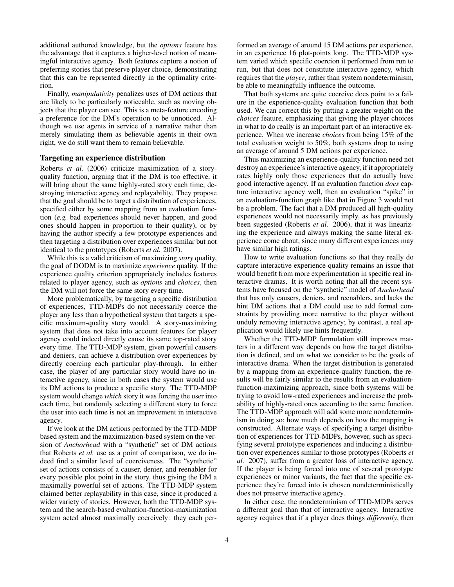additional authored knowledge, but the *options* feature has the advantage that it captures a higher-level notion of meaningful interactive agency. Both features capture a notion of preferring stories that preserve player choice, demonstrating that this can be reprsented directly in the optimality criterion.

Finally, *manipulativity* penalizes uses of DM actions that are likely to be particularly noticeable, such as moving objects that the player can see. This is a meta-feature encoding a preference for the DM's operation to be unnoticed. Although we use agents in service of a narrative rather than merely simulating them as believable agents in their own right, we do still want them to remain believable.

#### **Targeting an experience distribution**

Roberts *et al.* (2006) criticize maximization of a storyquality function, arguing that if the DM is too effective, it will bring about the same highly-rated story each time, destroying interactive agency and replayability. They propose that the goal should be to target a distribution of experiences, specified either by some mapping from an evaluation function (*e.g.* bad experiences should never happen, and good ones should happen in proportion to their quality), or by having the author specify a few prototype experiences and then targeting a distribution over experiences similar but not identical to the prototypes (Roberts *et al.* 2007).

While this is a valid criticism of maximizing *story* quality, the goal of DODM is to maximize *experience* quality. If the experience quality criterion appropriately includes features related to player agency, such as *options* and *choices*, then the DM will not force the same story every time.

More problematically, by targeting a specific distribution of experiences, TTD-MDPs do not necessarily coerce the player any less than a hypothetical system that targets a specific maximum-quality story would. A story-maximizing system that does not take into account features for player agency could indeed directly cause its same top-rated story every time. The TTD-MDP system, given powerful causers and deniers, can achieve a distribution over experiences by directly coercing each particular play-through. In either case, the player of any particular story would have no interactive agency, since in both cases the system would use its DM actions to produce a specific story. The TTD-MDP system would change *which* story it was forcing the user into each time, but randomly selecting a different story to force the user into each time is not an improvement in interactive agency.

If we look at the DM actions performed by the TTD-MDP based system and the maximization-based system on the version of *Anchorhead* with a "synthetic" set of DM actions that Roberts *et al.* use as a point of comparison, we do indeed find a similar level of coerciveness. The "synthetic" set of actions consists of a causer, denier, and reenabler for every possible plot point in the story, thus giving the DM a maximally powerful set of actions. The TTD-MDP system claimed better replayability in this case, since it produced a wider variety of stories. However, both the TTD-MDP system and the search-based evaluation-function-maximization system acted almost maximally coercively: they each performed an average of around 15 DM actions per experience, in an experience 16 plot-points long. The TTD-MDP system varied which specific coercion it performed from run to run, but that does not constitute interactive agency, which requires that the *player*, rather than system nondeterminism, be able to meaningfully influence the outcome.

That both systems are quite coercive does point to a failure in the experience-quality evaluation function that both used. We can correct this by putting a greater weight on the *choices* feature, emphasizing that giving the player choices in what to do really is an important part of an interactive experience. When we increase *choices* from being 15% of the total evaluation weight to 50%, both systems drop to using an average of around 5 DM actions per experience.

Thus maximizing an experience-quality function need not destroy an experience's interactive agency, if it appropriately rates highly only those experiences that do actually have good interactive agency. If an evaluation function *does* capture interactive agency well, then an evaluation "spike" in an evaluation-function graph like that in Figure 3 would not be a problem. The fact that a DM produced all high-quality experiences would not necessarily imply, as has previously been suggested (Roberts *et al.* 2006), that it was linearizing the experience and always making the same literal experience come about, since many different experiences may have similar high ratings.

How to write evaluation functions so that they really do capture interactive experience quality remains an issue that would benefit from more experimentation in specific real interactive dramas. It is worth noting that all the recent systems have focused on the "synthetic" model of *Anchorhead* that has only causers, deniers, and reenablers, and lacks the hint DM actions that a DM could use to add formal constraints by providing more narrative to the player without unduly removing interactive agency; by contrast, a real application would likely use hints frequently.

Whether the TTD-MDP formulation still improves matters in a different way depends on how the target distribution is defined, and on what we consider to be the goals of interactive drama. When the target distribution is generated by a mapping from an experience-quality function, the results will be fairly similar to the results from an evaluationfunction-maximizing approach, since both systems will be trying to avoid low-rated experiences and increase the probability of highly-rated ones according to the same function. The TTD-MDP approach will add some more nondeterminism in doing so; how much depends on how the mapping is constructed. Alternate ways of specifying a target distribution of experiences for TTD-MDPs, however, such as specifying several prototype experiences and inducing a distribution over experiences similar to those prototypes (Roberts *et al.* 2007), suffer from a greater loss of interactive agency. If the player is being forced into one of several prototype experiences or minor variants, the fact that the specific experience they're forced into is chosen nondeterministically does not preserve interactive agency.

In either case, the nondeterminism of TTD-MDPs serves a different goal than that of interactive agency. Interactive agency requires that if a player does things *differently*, then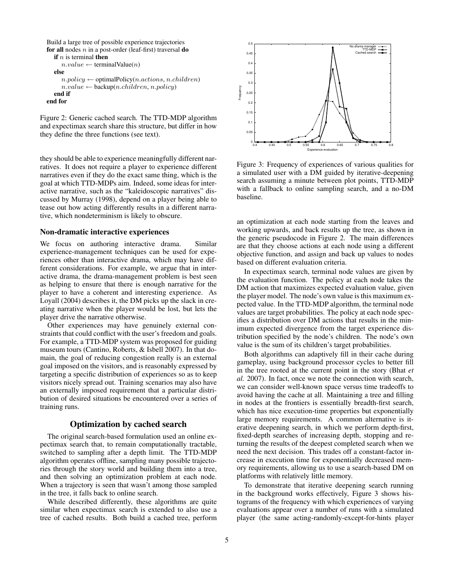```
Build a large tree of possible experience trajectories
for all nodes n in a post-order (leaf-first) traversal do
  if n is terminal then
     n.value \leftarrow terminalValue(n)else
     n.policy \leftarrow optimalPolicy(n.actions, n.children)
     n.value \leftarrow \text{backup}(n.children, n.policy)end if
end for
```
Figure 2: Generic cached search. The TTD-MDP algorithm and expectimax search share this structure, but differ in how they define the three functions (see text).

they should be able to experience meaningfully different narratives. It does not require a player to experience different narratives even if they do the exact same thing, which is the goal at which TTD-MDPs aim. Indeed, some ideas for interactive narrative, such as the "kaleidoscopic narratives" discussed by Murray (1998), depend on a player being able to tease out how acting differently results in a different narrative, which nondeterminism is likely to obscure.

# **Non-dramatic interactive experiences**

We focus on authoring interactive drama. Similar experience-management techniques can be used for experiences other than interactive drama, which may have different considerations. For example, we argue that in interactive drama, the drama-management problem is best seen as helping to ensure that there is enough narrative for the player to have a coherent and interesting experience. As Loyall (2004) describes it, the DM picks up the slack in creating narrative when the player would be lost, but lets the player drive the narrative otherwise.

Other experiences may have genuinely external constraints that could conflict with the user's freedom and goals. For example, a TTD-MDP system was proposed for guiding museum tours (Cantino, Roberts, & Isbell 2007). In that domain, the goal of reducing congestion really is an external goal imposed on the visitors, and is reasonably expressed by targeting a specific distribution of experiences so as to keep visitors nicely spread out. Training scenarios may also have an externally imposed requirement that a particular distribution of desired situations be encountered over a series of training runs.

## **Optimization by cached search**

The original search-based formulation used an online expectimax search that, to remain computationally tractable, switched to sampling after a depth limit. The TTD-MDP algorithm operates offline, sampling many possible trajectories through the story world and building them into a tree, and then solving an optimization problem at each node. When a trajectory is seen that wasn't among those sampled in the tree, it falls back to online search.

While described differently, these algorithms are quite similar when expectimax search is extended to also use a tree of cached results. Both build a cached tree, perform



Figure 3: Frequency of experiences of various qualities for a simulated user with a DM guided by iterative-deepening search assuming a minute between plot points, TTD-MDP with a fallback to online sampling search, and a no-DM baseline.

an optimization at each node starting from the leaves and working upwards, and back results up the tree, as shown in the generic pseudocode in Figure 2. The main differences are that they choose actions at each node using a different objective function, and assign and back up values to nodes based on different evaluation criteria.

In expectimax search, terminal node values are given by the evaluation function. The policy at each node takes the DM action that maximizes expected evaluation value, given the player model. The node's own value is this maximum expected value. In the TTD-MDP algorithm, the terminal node values are target probabilities. The policy at each node specifies a distribution over DM actions that results in the minimum expected divergence from the target experience distribution specified by the node's children. The node's own value is the sum of its children's target probabilities.

Both algorithms can adaptively fill in their cache during gameplay, using background processor cycles to better fill in the tree rooted at the current point in the story (Bhat *et al.* 2007). In fact, once we note the connection with search, we can consider well-known space versus time tradeoffs to avoid having the cache at all. Maintaining a tree and filling in nodes at the frontiers is essentially breadth-first search, which has nice execution-time properties but exponentially large memory requirements. A common alternative is iterative deepening search, in which we perform depth-first, fixed-depth searches of increasing depth, stopping and returning the results of the deepest completed search when we need the next decision. This trades off a constant-factor increase in execution time for exponentially decreased memory requirements, allowing us to use a search-based DM on platforms with relatively little memory.

To demonstrate that iterative deepening search running in the background works effectively, Figure 3 shows histograms of the frequency with which experiences of varying evaluations appear over a number of runs with a simulated player (the same acting-randomly-except-for-hints player